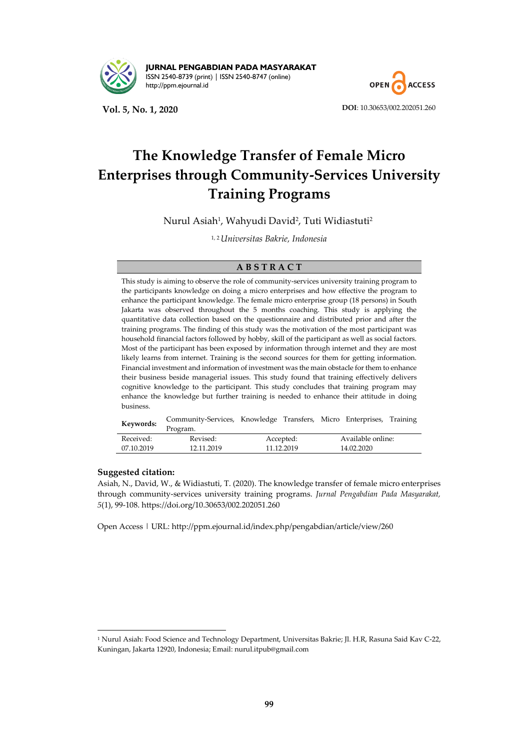

**JURNAL PENGABDIAN PADA MASYARAKAT** ISSN 2540-8739 (print) | ISSN 2540-8747 (online) [http://ppm.ejournal.id](http://ppm.ejournal.id/)

**Vol. 5, No. 1, 2020 DOI**[: 10.30653/002.202051.260](https://doi.org/10.30653/002.202051.260)



# **The Knowledge Transfer of Female Micro Enterprises through Community-Services University Training Programs**

Nurul Asiah<sup>1</sup>, Wahyudi David<sup>2</sup>, Tuti Widiastuti<sup>2</sup>

1, 2 *Universitas Bakrie, Indonesia*

## **A B S T R A C T**

This study is aiming to observe the role of community-services university training program to the participants knowledge on doing a micro enterprises and how effective the program to enhance the participant knowledge. The female micro enterprise group (18 persons) in South Jakarta was observed throughout the 5 months coaching. This study is applying the quantitative data collection based on the questionnaire and distributed prior and after the training programs. The finding of this study was the motivation of the most participant was household financial factors followed by hobby, skill of the participant as well as social factors. Most of the participant has been exposed by information through internet and they are most likely learns from internet. Training is the second sources for them for getting information. Financial investment and information of investment was the main obstacle for them to enhance their business beside managerial issues. This study found that training effectively delivers cognitive knowledge to the participant. This study concludes that training program may enhance the knowledge but further training is needed to enhance their attitude in doing business.

| Keywords:  | Community-Services, Knowledge Transfers, Micro Enterprises, Training |            |  |                   |  |  |
|------------|----------------------------------------------------------------------|------------|--|-------------------|--|--|
|            | Program.                                                             |            |  |                   |  |  |
| Received:  | Revised:                                                             | Accepted:  |  | Available online: |  |  |
| 07.10.2019 | 12.11.2019                                                           | 11.12.2019 |  | 14.02.2020        |  |  |

## **Suggested citation:**

-

Asiah, N., David, W., & Widiastuti, T. (2020). The knowledge transfer of female micro enterprises through community-services university training programs. *Jurnal Pengabdian Pada Masyarakat, 5*(1), 99-108. https://doi.org/10.30653/002.202051.260

Open Access | URL: <http://ppm.ejournal.id/index.php/pengabdian/article/view/260>

<sup>1</sup> Nurul Asiah: Food Science and Technology Department, Universitas Bakrie; Jl. H.R, Rasuna Said Kav C-22, Kuningan, Jakarta 12920, Indonesia; Email: nurul.itpub@gmail.com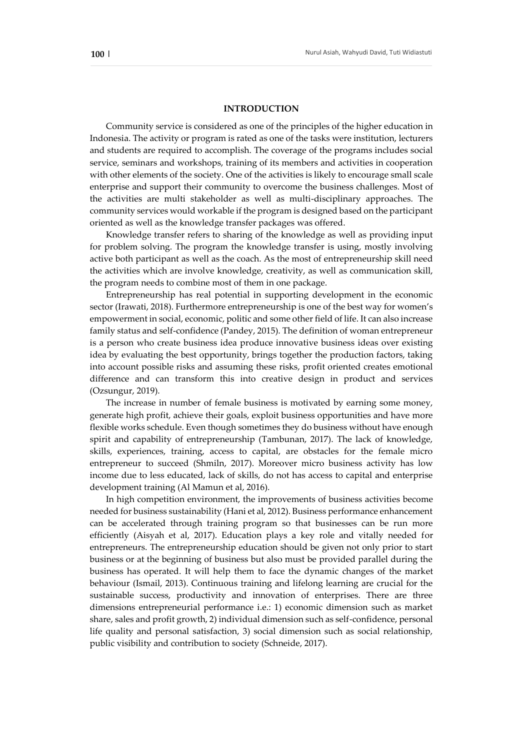#### **INTRODUCTION**

Community service is considered as one of the principles of the higher education in Indonesia. The activity or program is rated as one of the tasks were institution, lecturers and students are required to accomplish. The coverage of the programs includes social service, seminars and workshops, training of its members and activities in cooperation with other elements of the society. One of the activities is likely to encourage small scale enterprise and support their community to overcome the business challenges. Most of the activities are multi stakeholder as well as multi-disciplinary approaches. The community services would workable if the program is designed based on the participant oriented as well as the knowledge transfer packages was offered.

Knowledge transfer refers to sharing of the knowledge as well as providing input for problem solving. The program the knowledge transfer is using, mostly involving active both participant as well as the coach. As the most of entrepreneurship skill need the activities which are involve knowledge, creativity, as well as communication skill, the program needs to combine most of them in one package.

Entrepreneurship has real potential in supporting development in the economic sector (Irawati, 2018). Furthermore entrepreneurship is one of the best way for women's empowerment in social, economic, politic and some other field of life. It can also increase family status and self-confidence (Pandey, 2015). The definition of woman entrepreneur is a person who create business idea produce innovative business ideas over existing idea by evaluating the best opportunity, brings together the production factors, taking into account possible risks and assuming these risks, profit oriented creates emotional difference and can transform this into creative design in product and services (Ozsungur, 2019).

The increase in number of female business is motivated by earning some money, generate high profit, achieve their goals, exploit business opportunities and have more flexible works schedule. Even though sometimes they do business without have enough spirit and capability of entrepreneurship (Tambunan, 2017). The lack of knowledge, skills, experiences, training, access to capital, are obstacles for the female micro entrepreneur to succeed (Shmiln, 2017). Moreover micro business activity has low income due to less educated, lack of skills, do not has access to capital and enterprise development training (Al Mamun et al, 2016).

In high competition environment, the improvements of business activities become needed for business sustainability (Hani et al, 2012). Business performance enhancement can be accelerated through training program so that businesses can be run more efficiently (Aisyah et al, 2017). Education plays a key role and vitally needed for entrepreneurs. The entrepreneurship education should be given not only prior to start business or at the beginning of business but also must be provided parallel during the business has operated. It will help them to face the dynamic changes of the market behaviour (Ismail, 2013). Continuous training and lifelong learning are crucial for the sustainable success, productivity and innovation of enterprises. There are three dimensions entrepreneurial performance i.e.: 1) economic dimension such as market share, sales and profit growth, 2) individual dimension such as self-confidence, personal life quality and personal satisfaction, 3) social dimension such as social relationship, public visibility and contribution to society (Schneide, 2017).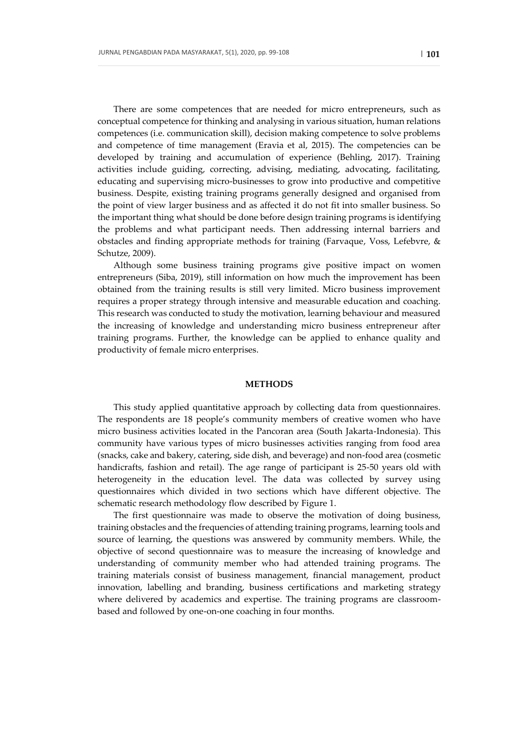There are some competences that are needed for micro entrepreneurs, such as conceptual competence for thinking and analysing in various situation, human relations competences (i.e. communication skill), decision making competence to solve problems and competence of time management (Eravia et al, 2015). The competencies can be developed by training and accumulation of experience (Behling, 2017). Training activities include guiding, correcting, advising, mediating, advocating, facilitating, educating and supervising micro-businesses to grow into productive and competitive business. Despite, existing training programs generally designed and organised from the point of view larger business and as affected it do not fit into smaller business. So the important thing what should be done before design training programs is identifying the problems and what participant needs. Then addressing internal barriers and obstacles and finding appropriate methods for training (Farvaque, Voss, Lefebvre, & Schutze, 2009).

Although some business training programs give positive impact on women entrepreneurs (Siba, 2019), still information on how much the improvement has been obtained from the training results is still very limited. Micro business improvement requires a proper strategy through intensive and measurable education and coaching. This research was conducted to study the motivation, learning behaviour and measured the increasing of knowledge and understanding micro business entrepreneur after training programs. Further, the knowledge can be applied to enhance quality and productivity of female micro enterprises.

#### **METHODS**

This study applied quantitative approach by collecting data from questionnaires. The respondents are 18 people's community members of creative women who have micro business activities located in the Pancoran area (South Jakarta-Indonesia). This community have various types of micro businesses activities ranging from food area (snacks, cake and bakery, catering, side dish, and beverage) and non-food area (cosmetic handicrafts, fashion and retail). The age range of participant is 25-50 years old with heterogeneity in the education level. The data was collected by survey using questionnaires which divided in two sections which have different objective. The schematic research methodology flow described by Figure 1.

The first questionnaire was made to observe the motivation of doing business, training obstacles and the frequencies of attending training programs, learning tools and source of learning, the questions was answered by community members. While, the objective of second questionnaire was to measure the increasing of knowledge and understanding of community member who had attended training programs. The training materials consist of business management, financial management, product innovation, labelling and branding, business certifications and marketing strategy where delivered by academics and expertise. The training programs are classroombased and followed by one-on-one coaching in four months.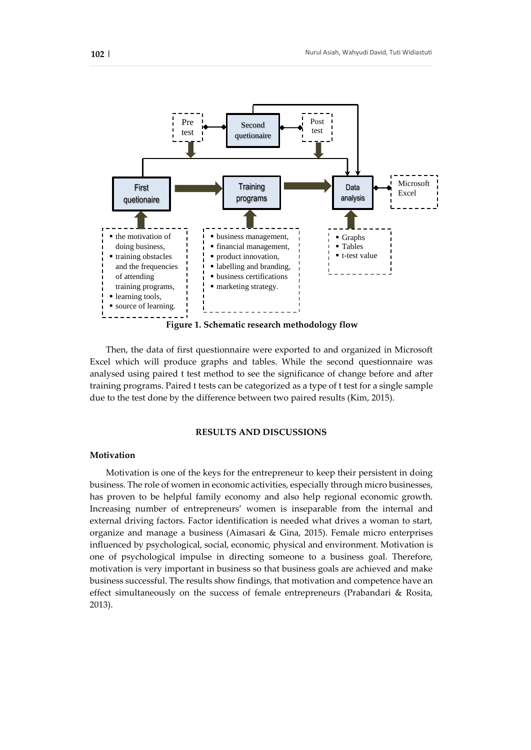

Then, the data of first questionnaire were exported to and organized in Microsoft Excel which will produce graphs and tables. While the second questionnaire was analysed using paired t test method to see the significance of change before and after training programs. Paired t tests can be categorized as a type of t test for a single sample due to the test done by the difference between two paired results (Kim, 2015).

## **RESULTS AND DISCUSSIONS**

## **Motivation**

Motivation is one of the keys for the entrepreneur to keep their persistent in doing business. The role of women in economic activities, especially through micro businesses, has proven to be helpful family economy and also help regional economic growth. Increasing number of entrepreneurs' women is inseparable from the internal and external driving factors. Factor identification is needed what drives a woman to start, organize and manage a business (Aimasari & Gina, 2015). Female micro enterprises influenced by psychological, social, economic, physical and environment. Motivation is one of psychological impulse in directing someone to a business goal. Therefore, motivation is very important in business so that business goals are achieved and make business successful. The results show findings, that motivation and competence have an effect simultaneously on the success of female entrepreneurs (Prabandari & Rosita, 2013).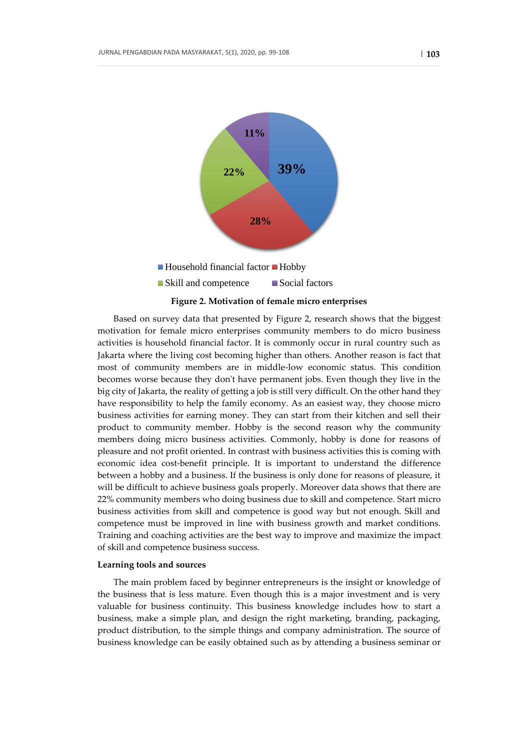

#### **Figure 2. Motivation of female micro enterprises**

Based on survey data that presented by Figure 2, research shows that the biggest motivation for female micro enterprises community members to do micro business activities is household financial factor. It is commonly occur in rural country such as Jakarta where the living cost becoming higher than others. Another reason is fact that most of community members are in middle-low economic status. This condition becomes worse because they don't have permanent jobs. Even though they live in the big city of Jakarta, the reality of getting a job is still very difficult. On the other hand they have responsibility to help the family economy. As an easiest way, they choose micro business activities for earning money. They can start from their kitchen and sell their product to community member. Hobby is the second reason why the community members doing micro business activities. Commonly, hobby is done for reasons of pleasure and not profit oriented. In contrast with business activities this is coming with economic idea cost-benefit principle. It is important to understand the difference between a hobby and a business. If the business is only done for reasons of pleasure, it will be difficult to achieve business goals properly. Moreover data shows that there are 22% community members who doing business due to skill and competence. Start micro business activities from skill and competence is good way but not enough. Skill and competence must be improved in line with business growth and market conditions. Training and coaching activities are the best way to improve and maximize the impact of skill and competence business success.

#### **Learning tools and sources**

The main problem faced by beginner entrepreneurs is the insight or knowledge of the business that is less mature. Even though this is a major investment and is very valuable for business continuity. This business knowledge includes how to start a business, make a simple plan, and design the right marketing, branding, packaging, product distribution, to the simple things and company administration. The source of business knowledge can be easily obtained such as by attending a business seminar or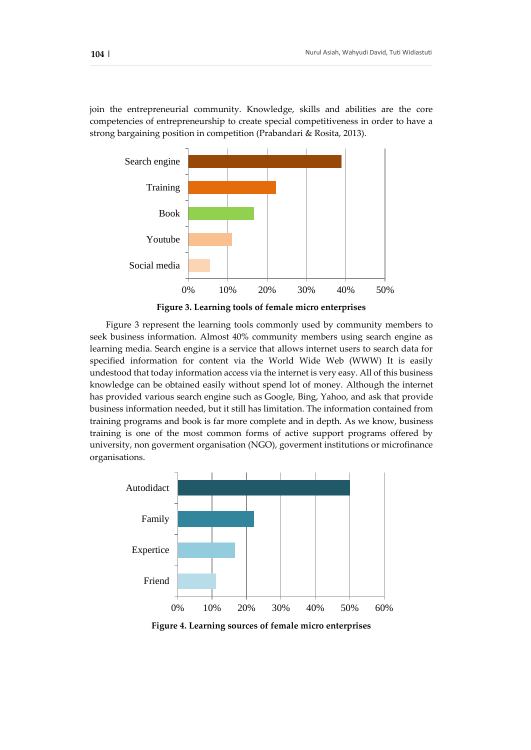join the entrepreneurial community. Knowledge, skills and abilities are the core competencies of entrepreneurship to create special competitiveness in order to have a strong bargaining position in competition (Prabandari & Rosita, 2013).



**Figure 3. Learning tools of female micro enterprises** 

Figure 3 represent the learning tools commonly used by community members to seek business information. Almost 40% community members using search engine as learning media. Search engine is a service that allows internet users to search data for specified information for content via the World Wide Web (WWW) It is easily undestood that today information access via the internet is very easy. All of this business knowledge can be obtained easily without spend lot of money. Although the internet has provided various search engine such as Google, Bing, Yahoo, and ask that provide business information needed, but it still has limitation. The information contained from training programs and book is far more complete and in depth. As we know, business training is one of the most common forms of active support programs offered by university, non goverment organisation (NGO), goverment institutions or microfinance organisations.



**Figure 4. Learning sources of female micro enterprises**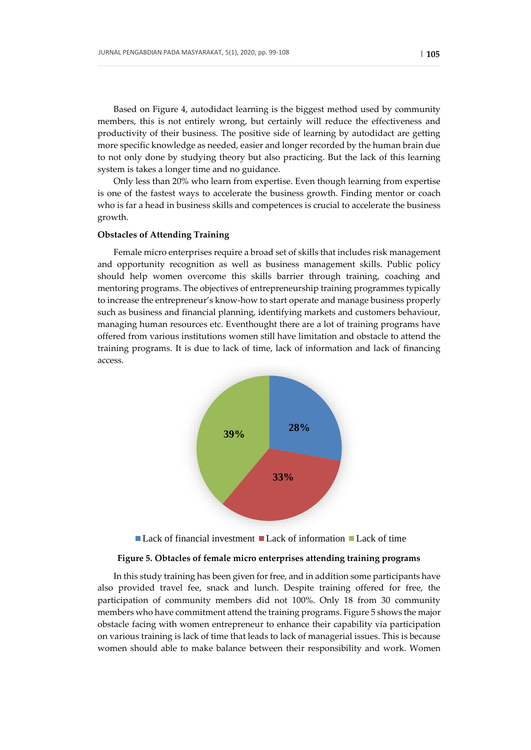Based on Figure 4, autodidact learning is the biggest method used by community members, this is not entirely wrong, but certainly will reduce the effectiveness and productivity of their business. The positive side of learning by autodidact are getting more specific knowledge as needed, easier and longer recorded by the human brain due to not only done by studying theory but also practicing. But the lack of this learning system is takes a longer time and no guidance.

Only less than 20% who learn from expertise. Even though learning from expertise is one of the fastest ways to accelerate the business growth. Finding mentor or coach who is far a head in business skills and competences is crucial to accelerate the business growth.

#### **Obstacles of Attending Training**

Female micro enterprises require a broad set of skills that includes risk management and opportunity recognition as well as business management skills. Public policy should help women overcome this skills barrier through training, coaching and mentoring programs. The objectives of entrepreneurship training programmes typically to increase the entrepreneur's know-how to start operate and manage business properly such as business and financial planning, identifying markets and customers behaviour, managing human resources etc. Eventhought there are a lot of training programs have offered from various institutions women still have limitation and obstacle to attend the training programs. It is due to lack of time, lack of information and lack of financing access.



 $\blacksquare$  Lack of financial investment  $\blacksquare$  Lack of information  $\blacksquare$  Lack of time

#### **Figure 5. Obtacles of female micro enterprises attending training programs**

In this study training has been given for free, and in addition some participants have also provided travel fee, snack and lunch. Despite training offered for free, the participation of community members did not 100%. Only 18 from 30 community members who have commitment attend the training programs. Figure 5 shows the major obstacle facing with women entrepreneur to enhance their capability via participation on various training is lack of time that leads to lack of managerial issues. This is because women should able to make balance between their responsibility and work. Women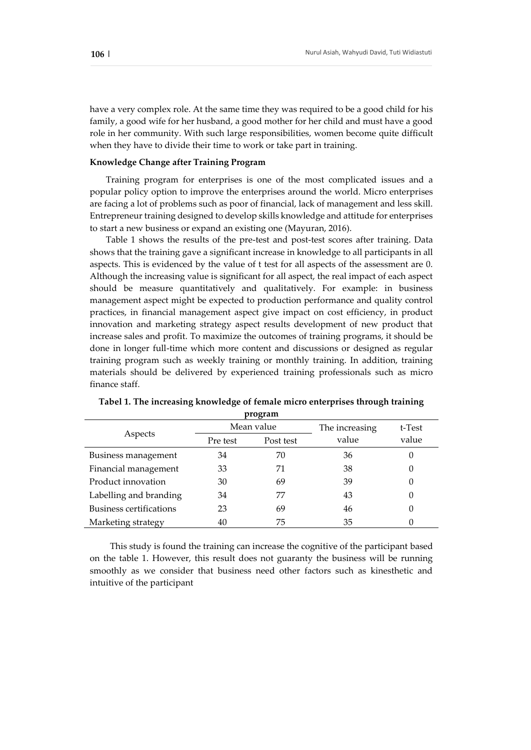have a very complex role. At the same time they was required to be a good child for his family, a good wife for her husband, a good mother for her child and must have a good role in her community. With such large responsibilities, women become quite difficult when they have to divide their time to work or take part in training.

## **Knowledge Change after Training Program**

Training program for enterprises is one of the most complicated issues and a popular policy option to improve the enterprises around the world. Micro enterprises are facing a lot of problems such as poor of financial, lack of management and less skill. Entrepreneur training designed to develop skills knowledge and attitude for enterprises to start a new business or expand an existing one (Mayuran, 2016).

Table 1 shows the results of the pre-test and post-test scores after training. Data shows that the training gave a significant increase in knowledge to all participants in all aspects. This is evidenced by the value of t test for all aspects of the assessment are 0. Although the increasing value is significant for all aspect, the real impact of each aspect should be measure quantitatively and qualitatively. For example: in business management aspect might be expected to production performance and quality control practices, in financial management aspect give impact on cost efficiency, in product innovation and marketing strategy aspect results development of new product that increase sales and profit. To maximize the outcomes of training programs, it should be done in longer full-time which more content and discussions or designed as regular training program such as weekly training or monthly training. In addition, training materials should be delivered by experienced training professionals such as micro finance staff.

|                                | Mean value |           | The increasing | t-Test           |
|--------------------------------|------------|-----------|----------------|------------------|
| Aspects                        | Pre test   | Post test | value          | value            |
| Business management            | 34         | 70        | 36             | $\left( \right)$ |
| Financial management           | 33         | 71        | 38             |                  |
| Product innovation             | 30         | 69        | 39             | $\left( \right)$ |
| Labelling and branding         | 34         | 77        | 43             |                  |
| <b>Business certifications</b> | 23         | 69        | 46             |                  |
| Marketing strategy             |            | 75        | 35             |                  |

**Tabel 1. The increasing knowledge of female micro enterprises through training program**

This study is found the training can increase the cognitive of the participant based on the table 1. However, this result does not guaranty the business will be running smoothly as we consider that business need other factors such as kinesthetic and intuitive of the participant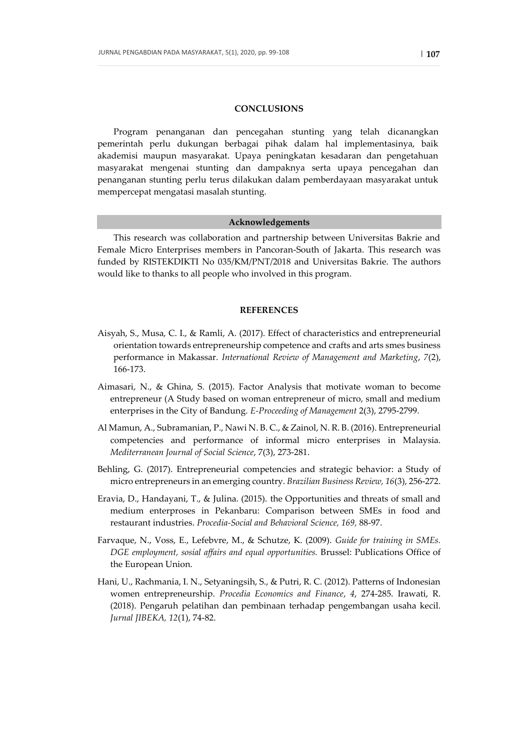#### **CONCLUSIONS**

Program penanganan dan pencegahan stunting yang telah dicanangkan pemerintah perlu dukungan berbagai pihak dalam hal implementasinya, baik akademisi maupun masyarakat. Upaya peningkatan kesadaran dan pengetahuan masyarakat mengenai stunting dan dampaknya serta upaya pencegahan dan penanganan stunting perlu terus dilakukan dalam pemberdayaan masyarakat untuk mempercepat mengatasi masalah stunting.

#### **Acknowledgements**

This research was collaboration and partnership between Universitas Bakrie and Female Micro Enterprises members in Pancoran-South of Jakarta. This research was funded by RISTEKDIKTI No 035/KM/PNT/2018 and Universitas Bakrie. The authors would like to thanks to all people who involved in this program.

## **REFERENCES**

- Aisyah, S., Musa, C. I., & Ramli, A. (2017). Effect of characteristics and entrepreneurial orientation towards entrepreneurship competence and crafts and arts smes business performance in Makassar. *International Review of Management and Marketing*, *7*(2), 166-173.
- Aimasari, N., & Ghina, S. (2015). Factor Analysis that motivate woman to become entrepreneur (A Study based on woman entrepreneur of micro, small and medium enterprises in the City of Bandung. *E-Proceeding of Management* 2(3), 2795-2799.
- Al Mamun, A., Subramanian, P., Nawi N. B. C., & Zainol, N. R. B. (2016). Entrepreneurial competencies and performance of informal micro enterprises in Malaysia. *Mediterranean Journal of Social Science*, 7(3), 273-281.
- Behling, G. (2017). Entrepreneurial competencies and strategic behavior: a Study of micro entrepreneurs in an emerging country. *Brazilian Business Review, 16*(3), 256-272.
- Eravia, D., Handayani, T., & Julina. (2015). the Opportunities and threats of small and medium enterproses in Pekanbaru: Comparison between SMEs in food and restaurant industries. *Procedia-Social and Behavioral Science, 169,* 88-97.
- Farvaque, N., Voss, E., Lefebvre, M., & Schutze, K. (2009). *Guide for training in SMEs. DGE employment, sosial affairs and equal opportunities.* Brussel: Publications Office of the European Union.
- Hani, U., Rachmania, I. N., Setyaningsih, S., & Putri, R. C. (2012). Patterns of Indonesian women entrepreneurship. *Procedia Economics and Finance*, *4*, 274-285. Irawati, R. (2018). Pengaruh pelatihan dan pembinaan terhadap pengembangan usaha kecil. *Jurnal JIBEKA, 12*(1), 74-82.